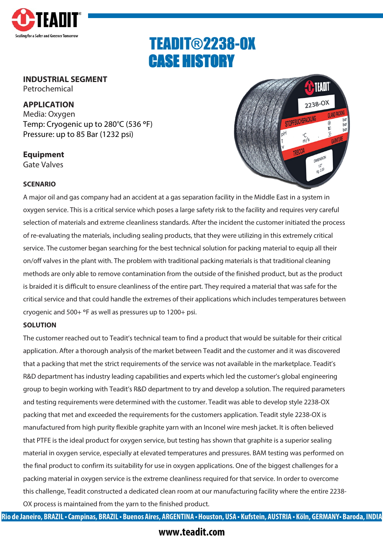

# TEADIT®2238-OX CASE HISTORY

## **INDUSTRIAL SEGMENT**

Petrochemical

#### **APPLICATION**

Media: Oxygen Temp: Cryogenic up to 280°C (536 °F) Pressure: up to 85 Bar (1232 psi)

**Equipment** Gate Valves



#### **SCENARIO**

A major oil and gas company had an accident at a gas separation facility in the Middle East in a system in oxygen service. This is a critical service which poses a large safety risk to the facility and requires very careful selection of materials and extreme cleanliness standards. After the incident the customer initiated the process of re-evaluating the materials, including sealing products, that they were utilizing in this extremely critical service. The customer began searching for the best technical solution for packing material to equip all their on/off valves in the plant with. The problem with traditional packing materials is that traditional cleaning methods are only able to remove contamination from the outside of the finished product, but as the product is braided it is difficult to ensure cleanliness of the entire part. They required a material that was safe for the critical service and that could handle the extremes of their applications which includes temperatures between cryogenic and 500+ °F as well as pressures up to 1200+ psi.

#### **SOLUTION**

The customer reached out to Teadit's technical team to find a product that would be suitable for their critical application. After a thorough analysis of the market between Teadit and the customer and it was discovered that a packing that met the strict requirements of the service was not available in the marketplace. Teadit's R&D department has industry leading capabilities and experts which led the customer's global engineering group to begin working with Teadit's R&D department to try and develop a solution. The required parameters and testing requirements were determined with the customer. Teadit was able to develop style 2238-OX packing that met and exceeded the requirements for the customers application. Teadit style 2238-OX is manufactured from high purity flexible graphite yarn with an Inconel wire mesh jacket. It is often believed that PTFE is the ideal product for oxygen service, but testing has shown that graphite is a superior sealing material in oxygen service, especially at elevated temperatures and pressures. BAM testing was performed on the final product to confirm its suitability for use in oxygen applications. One of the biggest challenges for a packing material in oxygen service is the extreme cleanliness required for that service. In order to overcome this challenge, Teadit constructed a dedicated clean room at our manufacturing facility where the entire 2238- OX process is maintained from the yarn to the finished product.

Rio de Janeiro, BRAZIL • Campinas, BRAZIL • Buenos Aires, ARGENTINA • Houston, USA • Kufstein, AUSTRIA • Köln, GERMANY• Baroda, INDIA

### **www.teadit.com**